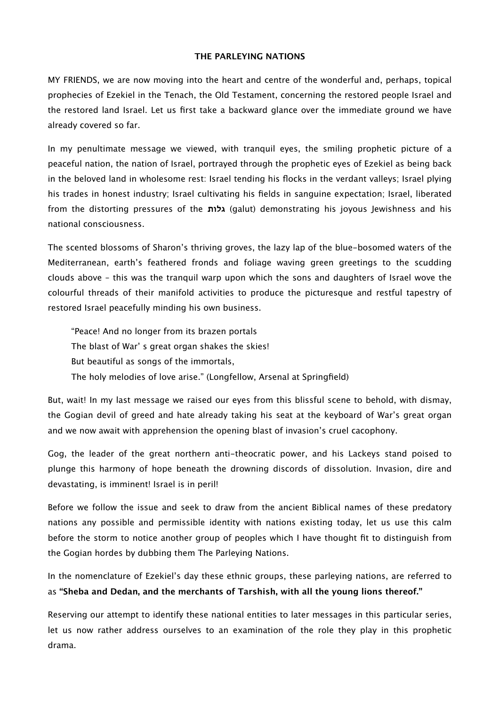## **THE PARLEYING NATIONS**

MY FRIENDS, we are now moving into the heart and centre of the wonderful and, perhaps, topical prophecies of Ezekiel in the Tenach, the Old Testament, concerning the restored people Israel and the restored land Israel. Let us first take a backward glance over the immediate ground we have already covered so far.

In my penultimate message we viewed, with tranquil eyes, the smiling prophetic picture of a peaceful nation, the nation of Israel, portrayed through the prophetic eyes of Ezekiel as being back in the beloved land in wholesome rest: Israel tending his flocks in the verdant valleys; Israel plying his trades in honest industry; Israel cultivating his fields in sanguine expectation; Israel, liberated from the distorting pressures of the **גלות**) galut) demonstrating his joyous Jewishness and his national consciousness.

The scented blossoms of Sharon's thriving groves, the lazy lap of the blue-bosomed waters of the Mediterranean, earth's feathered fronds and foliage waving green greetings to the scudding clouds above – this was the tranquil warp upon which the sons and daughters of Israel wove the colourful threads of their manifold activities to produce the picturesque and restful tapestry of restored Israel peacefully minding his own business.

"Peace! And no longer from its brazen portals The blast of War' s great organ shakes the skies! But beautiful as songs of the immortals, The holy melodies of love arise." (Longfellow, Arsenal at Springfield)

But, wait! In my last message we raised our eyes from this blissful scene to behold, with dismay, the Gogian devil of greed and hate already taking his seat at the keyboard of War's great organ and we now await with apprehension the opening blast of invasion's cruel cacophony.

Gog, the leader of the great northern anti-theocratic power, and his Lackeys stand poised to plunge this harmony of hope beneath the drowning discords of dissolution. Invasion, dire and devastating, is imminent! Israel is in peril!

Before we follow the issue and seek to draw from the ancient Biblical names of these predatory nations any possible and permissible identity with nations existing today, let us use this calm before the storm to notice another group of peoples which I have thought fit to distinguish from the Gogian hordes by dubbing them The Parleying Nations.

In the nomenclature of Ezekiel's day these ethnic groups, these parleying nations, are referred to as **"Sheba and Dedan, and the merchants of Tarshish, with all the young lions thereof."**

Reserving our attempt to identify these national entities to later messages in this particular series, let us now rather address ourselves to an examination of the role they play in this prophetic drama.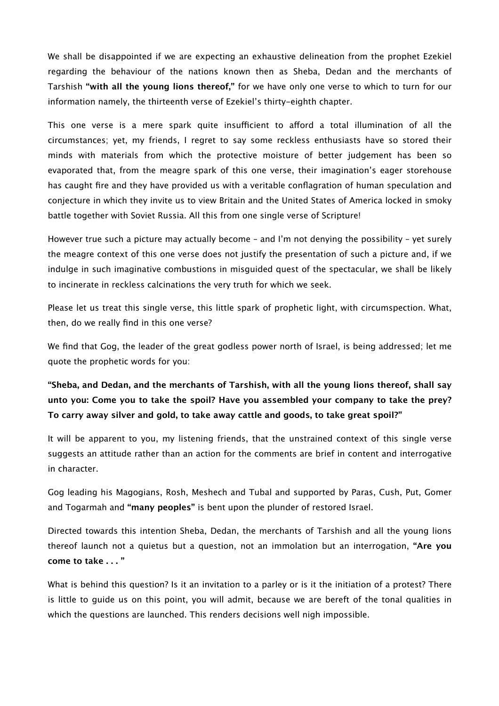We shall be disappointed if we are expecting an exhaustive delineation from the prophet Ezekiel regarding the behaviour of the nations known then as Sheba, Dedan and the merchants of Tarshish **"with all the young lions thereof,"** for we have only one verse to which to turn for our information namely, the thirteenth verse of Ezekiel's thirty-eighth chapter.

This one verse is a mere spark quite insufficient to afford a total illumination of all the circumstances; yet, my friends, I regret to say some reckless enthusiasts have so stored their minds with materials from which the protective moisture of better judgement has been so evaporated that, from the meagre spark of this one verse, their imagination's eager storehouse has caught fire and they have provided us with a veritable conflagration of human speculation and conjecture in which they invite us to view Britain and the United States of America locked in smoky battle together with Soviet Russia. All this from one single verse of Scripture!

However true such a picture may actually become – and I'm not denying the possibility – yet surely the meagre context of this one verse does not justify the presentation of such a picture and, if we indulge in such imaginative combustions in misguided quest of the spectacular, we shall be likely to incinerate in reckless calcinations the very truth for which we seek.

Please let us treat this single verse, this little spark of prophetic light, with circumspection. What, then, do we really find in this one verse?

We find that Gog, the leader of the great godless power north of Israel, is being addressed; let me quote the prophetic words for you:

**"Sheba, and Dedan, and the merchants of Tarshish, with all the young lions thereof, shall say unto you: Come you to take the spoil? Have you assembled your company to take the prey? To carry away silver and gold, to take away cattle and goods, to take great spoil?"**

It will be apparent to you, my listening friends, that the unstrained context of this single verse suggests an attitude rather than an action for the comments are brief in content and interrogative in character.

Gog leading his Magogians, Rosh, Meshech and Tubal and supported by Paras, Cush, Put, Gomer and Togarmah and **"many peoples"** is bent upon the plunder of restored Israel.

Directed towards this intention Sheba, Dedan, the merchants of Tarshish and all the young lions thereof launch not a quietus but a question, not an immolation but an interrogation, **"Are you come to take . . . "**

What is behind this question? Is it an invitation to a parley or is it the initiation of a protest? There is little to guide us on this point, you will admit, because we are bereft of the tonal qualities in which the questions are launched. This renders decisions well nigh impossible.